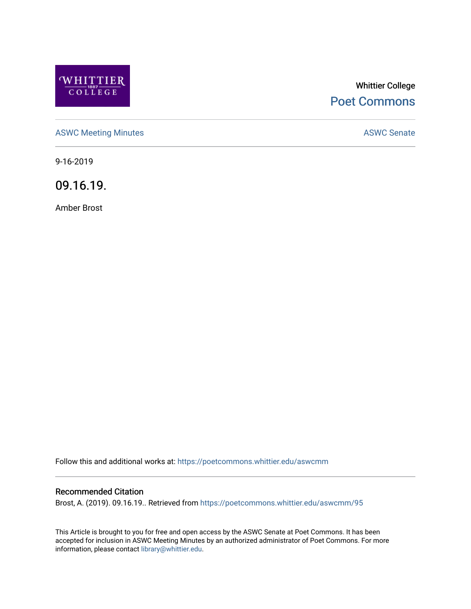

# Whittier College [Poet Commons](https://poetcommons.whittier.edu/)

[ASWC Meeting Minutes](https://poetcommons.whittier.edu/aswcmm) **ASWC Senate** 

9-16-2019

09.16.19.

Amber Brost

Follow this and additional works at: [https://poetcommons.whittier.edu/aswcmm](https://poetcommons.whittier.edu/aswcmm?utm_source=poetcommons.whittier.edu%2Faswcmm%2F95&utm_medium=PDF&utm_campaign=PDFCoverPages)

#### Recommended Citation

Brost, A. (2019). 09.16.19.. Retrieved from [https://poetcommons.whittier.edu/aswcmm/95](https://poetcommons.whittier.edu/aswcmm/95?utm_source=poetcommons.whittier.edu%2Faswcmm%2F95&utm_medium=PDF&utm_campaign=PDFCoverPages)

This Article is brought to you for free and open access by the ASWC Senate at Poet Commons. It has been accepted for inclusion in ASWC Meeting Minutes by an authorized administrator of Poet Commons. For more information, please contact [library@whittier.edu.](mailto:library@whittier.edu)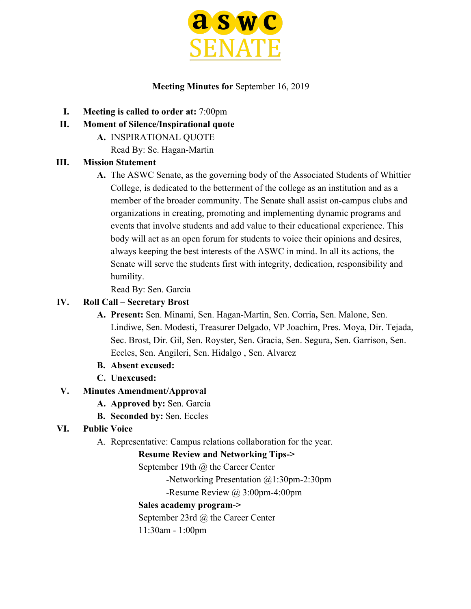

### **Meeting Minutes for** September 16, 2019

- **I. Meeting is called to order at:** 7:00pm
- **II. Moment of Silence/Inspirational quote**
	- **A.** INSPIRATIONAL QUOTE
		- Read By: Se. Hagan-Martin

# **III. Mission Statement**

**A.** The ASWC Senate, as the governing body of the Associated Students of Whittier College, is dedicated to the betterment of the college as an institution and as a member of the broader community. The Senate shall assist on-campus clubs and organizations in creating, promoting and implementing dynamic programs and events that involve students and add value to their educational experience. This body will act as an open forum for students to voice their opinions and desires, always keeping the best interests of the ASWC in mind. In all its actions, the Senate will serve the students first with integrity, dedication, responsibility and humility.

Read By: Sen. Garcia

# **IV. Roll Call – Secretary Brost**

- **A. Present:** Sen. Minami, Sen. Hagan-Martin, Sen. Corria**,** Sen. Malone, Sen. Lindiwe, Sen. Modesti, Treasurer Delgado, VP Joachim, Pres. Moya, Dir. Tejada, Sec. Brost, Dir. Gil, Sen. Royster, Sen. Gracia, Sen. Segura, Sen. Garrison, Sen. Eccles, Sen. Angileri, Sen. Hidalgo , Sen. Alvarez
- **B. Absent excused:**
- **C. Unexcused:**

# **V. Minutes Amendment/Approval**

- **A. Approved by:** Sen. Garcia
- **B. Seconded by:** Sen. Eccles

# **VI. Public Voice**

A. Representative: Campus relations collaboration for the year.

# **Resume Review and Networking Tips->**

September 19th @ the Career Center

-Networking Presentation @1:30pm-2:30pm

-Resume Review @ 3:00pm-4:00pm

# **Sales academy program->**

September 23rd @ the Career Center

11:30am - 1:00pm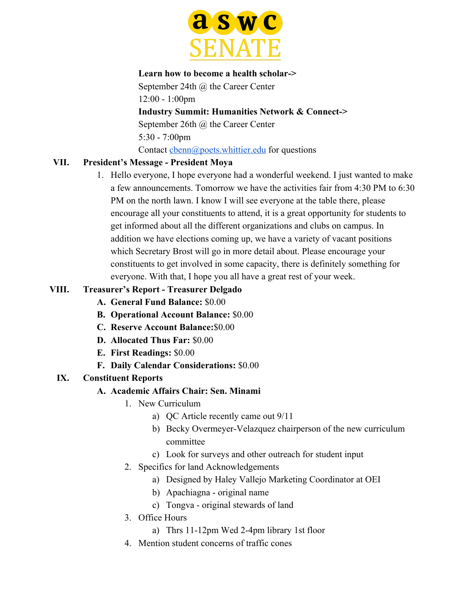

#### **Learn how to become a health scholar->**

September 24th @ the Career Center 12:00 - 1:00pm **Industry Summit: Humanities Network & Connect->** September 26th @ the Career Center 5:30 - 7:00pm Contact chenn@poets.whittier.edu for questions

# **VII. President's Message - President Moya**

1. Hello everyone, I hope everyone had a wonderful weekend. I just wanted to make a few announcements. Tomorrow we have the activities fair from 4:30 PM to 6:30 PM on the north lawn. I know I will see everyone at the table there, please encourage all your constituents to attend, it is a great opportunity for students to get informed about all the different organizations and clubs on campus. In addition we have elections coming up, we have a variety of vacant positions which Secretary Brost will go in more detail about. Please encourage your constituents to get involved in some capacity, there is definitely something for everyone. With that, I hope you all have a great rest of your week.

### **VIII. Treasurer's Report - Treasurer Delgado**

- **A. General Fund Balance:** \$0.00
- **B. Operational Account Balance:** \$0.00
- **C. Reserve Account Balance:**\$0.00
- **D. Allocated Thus Far:** \$0.00
- **E. First Readings:** \$0.00
- **F. Daily Calendar Considerations:** \$0.00

# **IX. Constituent Reports**

# **A. Academic Affairs Chair: Sen. Minami**

- 1. New Curriculum
	- a) QC Article recently came out 9/11
	- b) Becky Overmeyer-Velazquez chairperson of the new curriculum committee
	- c) Look for surveys and other outreach for student input
	- 2. Specifics for land Acknowledgements
		- a) Designed by Haley Vallejo Marketing Coordinator at OEI
		- b) Apachiagna original name
		- c) Tongva original stewards of land
	- 3. Office Hours
		- a) Thrs 11-12pm Wed 2-4pm library 1st floor
	- 4. Mention student concerns of traffic cones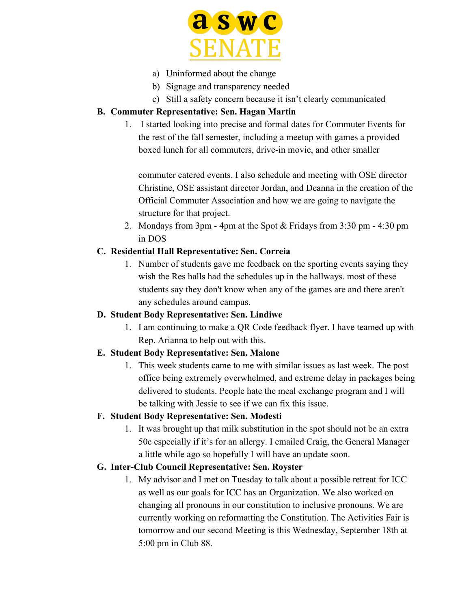

- a) Uninformed about the change
- b) Signage and transparency needed
- c) Still a safety concern because it isn't clearly communicated

# **B. Commuter Representative: Sen. Hagan Martin**

1. I started looking into precise and formal dates for Commuter Events for the rest of the fall semester, including a meetup with games a provided boxed lunch for all commuters, drive-in movie, and other smaller

commuter catered events. I also schedule and meeting with OSE director Christine, OSE assistant director Jordan, and Deanna in the creation of the Official Commuter Association and how we are going to navigate the structure for that project.

2. Mondays from 3pm - 4pm at the Spot & Fridays from 3:30 pm - 4:30 pm in DOS

# **C. Residential Hall Representative: Sen. Correia**

1. Number of students gave me feedback on the sporting events saying they wish the Res halls had the schedules up in the hallways. most of these students say they don't know when any of the games are and there aren't any schedules around campus.

# **D. Student Body Representative: Sen. Lindiwe**

1. I am continuing to make a QR Code feedback flyer. I have teamed up with Rep. Arianna to help out with this.

# **E. Student Body Representative: Sen. Malone**

1. This week students came to me with similar issues as last week. The post office being extremely overwhelmed, and extreme delay in packages being delivered to students. People hate the meal exchange program and I will be talking with Jessie to see if we can fix this issue.

# **F. Student Body Representative: Sen. Modesti**

1. It was brought up that milk substitution in the spot should not be an extra 50c especially if it's for an allergy. I emailed Craig, the General Manager a little while ago so hopefully I will have an update soon.

# **G. Inter-Club Council Representative: Sen. Royster**

1. My advisor and I met on Tuesday to talk about a possible retreat for ICC as well as our goals for ICC has an Organization. We also worked on changing all pronouns in our constitution to inclusive pronouns. We are currently working on reformatting the Constitution. The Activities Fair is tomorrow and our second Meeting is this Wednesday, September 18th at 5:00 pm in Club 88.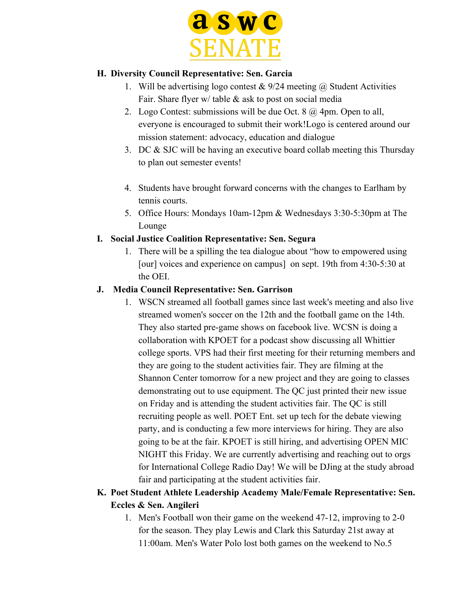

### **H. Diversity Council Representative: Sen. Garcia**

- 1. Will be advertising logo contest  $& 9/24$  meeting  $@$  Student Activities Fair. Share flyer w/ table & ask to post on social media
- 2. Logo Contest: submissions will be due Oct. 8 @ 4pm. Open to all, everyone is encouraged to submit their work!Logo is centered around our mission statement: advocacy, education and dialogue
- 3. DC & SJC will be having an executive board collab meeting this Thursday to plan out semester events!
- 4. Students have brought forward concerns with the changes to Earlham by tennis courts.
- 5. Office Hours: Mondays 10am-12pm & Wednesdays 3:30-5:30pm at The Lounge

### **I. Social Justice Coalition Representative: Sen. Segura**

1. There will be a spilling the tea dialogue about "how to empowered using [our] voices and experience on campus] on sept. 19th from 4:30-5:30 at the OEI.

### **J. Media Council Representative: Sen. Garrison**

1. WSCN streamed all football games since last week's meeting and also live streamed women's soccer on the 12th and the football game on the 14th. They also started pre-game shows on facebook live. WCSN is doing a collaboration with KPOET for a podcast show discussing all Whittier college sports. VPS had their first meeting for their returning members and they are going to the student activities fair. They are filming at the Shannon Center tomorrow for a new project and they are going to classes demonstrating out to use equipment. The QC just printed their new issue on Friday and is attending the student activities fair. The QC is still recruiting people as well. POET Ent. set up tech for the debate viewing party, and is conducting a few more interviews for hiring. They are also going to be at the fair. KPOET is still hiring, and advertising OPEN MIC NIGHT this Friday. We are currently advertising and reaching out to orgs for International College Radio Day! We will be DJing at the study abroad fair and participating at the student activities fair.

# **K. Poet Student Athlete Leadership Academy Male/Female Representative: Sen. Eccles & Sen. Angileri**

1. Men's Football won their game on the weekend 47-12, improving to 2-0 for the season. They play Lewis and Clark this Saturday 21st away at 11:00am. Men's Water Polo lost both games on the weekend to No.5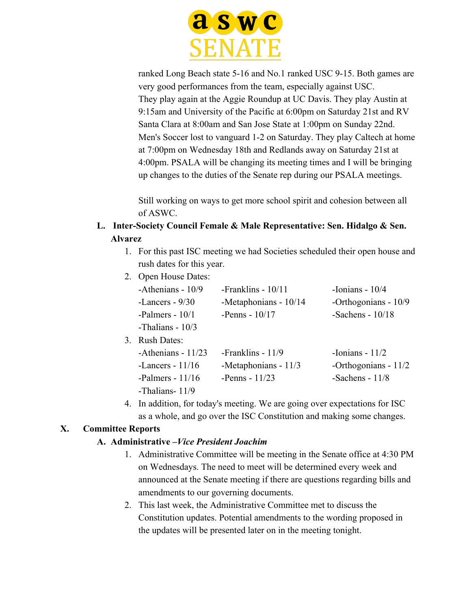

ranked Long Beach state 5-16 and No.1 ranked USC 9-15. Both games are very good performances from the team, especially against USC. They play again at the Aggie Roundup at UC Davis. They play Austin at 9:15am and University of the Pacific at 6:00pm on Saturday 21st and RV Santa Clara at 8:00am and San Jose State at 1:00pm on Sunday 22nd. Men's Soccer lost to vanguard 1-2 on Saturday. They play Caltech at home at 7:00pm on Wednesday 18th and Redlands away on Saturday 21st at 4:00pm. PSALA will be changing its meeting times and I will be bringing up changes to the duties of the Senate rep during our PSALA meetings.

Still working on ways to get more school spirit and cohesion between all of ASWC.

# **L. Inter-Society Council Female & Male Representative: Sen. Hidalgo & Sen. Alvarez**

- 1. For this past ISC meeting we had Societies scheduled their open house and rush dates for this year.
- 2 Open House Dates:

| -Athenians - 10/9    | -Franklins - $10/11$  | -Ionians - $10/4$      |
|----------------------|-----------------------|------------------------|
| -Lancers - $9/30$    | -Metaphonians - 10/14 | -Orthogonians - 10/9   |
| -Palmers - $10/1$    | -Penns - $10/17$      | -Sachens - $10/18$     |
| -Thalians - 10/3     |                       |                        |
| <b>Rush Dates:</b>   |                       |                        |
| -Athenians - $11/23$ | -Franklins - $11/9$   | -Ionians - $11/2$      |
| -Lancers - $11/16$   | -Metaphonians - 11/3  | -Orthogonians - $11/2$ |
| -Palmers - $11/16$   | -Penns - $11/23$      | -Sachens - $11/8$      |
| -Thalians- $11/9$    |                       |                        |

4. In addition, for today's meeting. We are going over expectations for ISC as a whole, and go over the ISC Constitution and making some changes.

# **X. Committee Reports**

 $3<sub>r</sub>$ 

# **A. Administrative –***Vice President Joachim*

- 1. Administrative Committee will be meeting in the Senate office at 4:30 PM on Wednesdays. The need to meet will be determined every week and announced at the Senate meeting if there are questions regarding bills and amendments to our governing documents.
- 2. This last week, the Administrative Committee met to discuss the Constitution updates. Potential amendments to the wording proposed in the updates will be presented later on in the meeting tonight.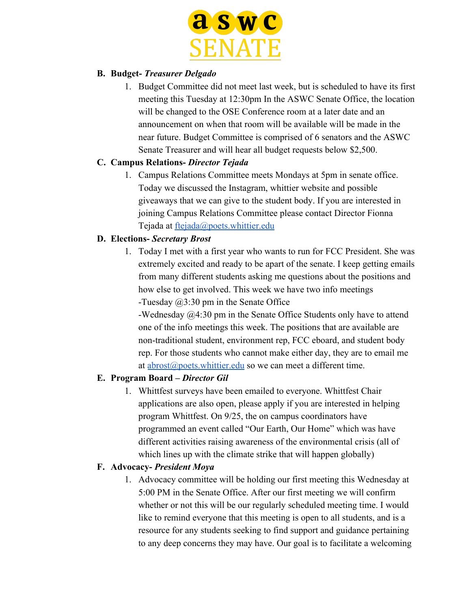

### **B. Budget-** *Treasurer Delgado*

1. Budget Committee did not meet last week, but is scheduled to have its first meeting this Tuesday at 12:30pm In the ASWC Senate Office, the location will be changed to the OSE Conference room at a later date and an announcement on when that room will be available will be made in the near future. Budget Committee is comprised of 6 senators and the ASWC Senate Treasurer and will hear all budget requests below \$2,500.

### **C. Campus Relations-** *Director Tejada*

1. Campus Relations Committee meets Mondays at 5pm in senate office. Today we discussed the Instagram, whittier website and possible giveaways that we can give to the student body. If you are interested in joining Campus Relations Committee please contact Director Fionna Tejada at [ftejada@poets.whittier.edu](mailto:ftejada@poets.whittier.edu)

### **D. Elections-** *Secretary Brost*

1. Today I met with a first year who wants to run for FCC President. She was extremely excited and ready to be apart of the senate. I keep getting emails from many different students asking me questions about the positions and how else to get involved. This week we have two info meetings -Tuesday @3:30 pm in the Senate Office

-Wednesday @4:30 pm in the Senate Office Students only have to attend one of the info meetings this week. The positions that are available are non-traditional student, environment rep, FCC eboard, and student body rep. For those students who cannot make either day, they are to email me at [abrost@poets.whittier.edu](mailto:abrost@poets.whittier.edu) so we can meet a different time.

### **E. Program Board –** *Director Gil*

1. Whittfest surveys have been emailed to everyone. Whittfest Chair applications are also open, please apply if you are interested in helping program Whittfest. On 9/25, the on campus coordinators have programmed an event called "Our Earth, Our Home" which was have different activities raising awareness of the environmental crisis (all of which lines up with the climate strike that will happen globally)

### **F. Advocacy-** *President Moya*

1. Advocacy committee will be holding our first meeting this Wednesday at 5:00 PM in the Senate Office. After our first meeting we will confirm whether or not this will be our regularly scheduled meeting time. I would like to remind everyone that this meeting is open to all students, and is a resource for any students seeking to find support and guidance pertaining to any deep concerns they may have. Our goal is to facilitate a welcoming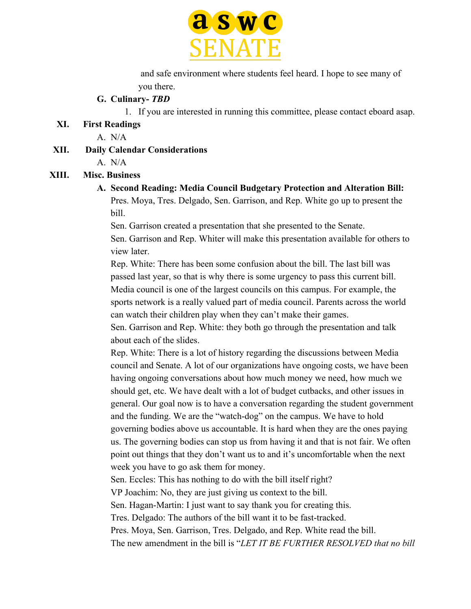

 and safe environment where students feel heard. I hope to see many of you there.

#### **G. Culinary-** *TBD*

1. If you are interested in running this committee, please contact eboard asap.

#### **XI. First Readings**

A. N/A

**XII. Daily Calendar Considerations**

A. N/A

#### **XIII. Misc. Business**

# **A. Second Reading: Media Council Budgetary Protection and Alteration Bill:**

Pres. Moya, Tres. Delgado, Sen. Garrison, and Rep. White go up to present the bill.

Sen. Garrison created a presentation that she presented to the Senate.

Sen. Garrison and Rep. Whiter will make this presentation available for others to view later.

Rep. White: There has been some confusion about the bill. The last bill was passed last year, so that is why there is some urgency to pass this current bill. Media council is one of the largest councils on this campus. For example, the sports network is a really valued part of media council. Parents across the world can watch their children play when they can't make their games.

Sen. Garrison and Rep. White: they both go through the presentation and talk about each of the slides.

Rep. White: There is a lot of history regarding the discussions between Media council and Senate. A lot of our organizations have ongoing costs, we have been having ongoing conversations about how much money we need, how much we should get, etc. We have dealt with a lot of budget cutbacks, and other issues in general. Our goal now is to have a conversation regarding the student government and the funding. We are the "watch-dog" on the campus. We have to hold governing bodies above us accountable. It is hard when they are the ones paying us. The governing bodies can stop us from having it and that is not fair. We often point out things that they don't want us to and it's uncomfortable when the next week you have to go ask them for money.

Sen. Eccles: This has nothing to do with the bill itself right?

VP Joachim: No, they are just giving us context to the bill.

Sen. Hagan-Martin: I just want to say thank you for creating this.

Tres. Delgado: The authors of the bill want it to be fast-tracked.

Pres. Moya, Sen. Garrison, Tres. Delgado, and Rep. White read the bill.

The new amendment in the bill is "*LET IT BE FURTHER RESOLVED that no bill*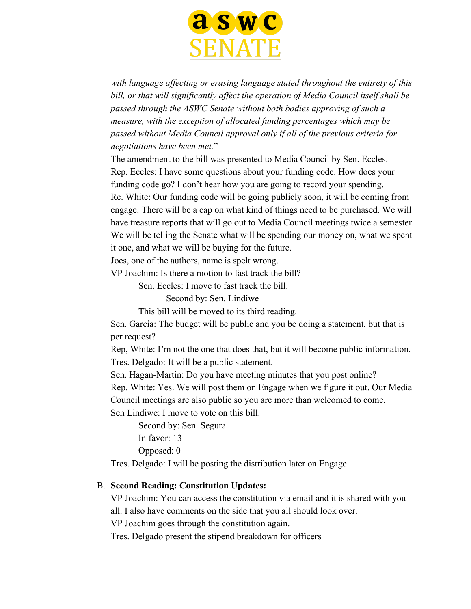

*with language affecting or erasing language stated throughout the entirety of this bill, or that will significantly affect the operation of Media Council itself shall be passed through the ASWC Senate without both bodies approving of such a measure, with the exception of allocated funding percentages which may be passed without Media Council approval only if all of the previous criteria for negotiations have been met.*"

The amendment to the bill was presented to Media Council by Sen. Eccles. Rep. Eccles: I have some questions about your funding code. How does your funding code go? I don't hear how you are going to record your spending. Re. White: Our funding code will be going publicly soon, it will be coming from engage. There will be a cap on what kind of things need to be purchased. We will have treasure reports that will go out to Media Council meetings twice a semester. We will be telling the Senate what will be spending our money on, what we spent it one, and what we will be buying for the future.

Joes, one of the authors, name is spelt wrong.

VP Joachim: Is there a motion to fast track the bill?

Sen. Eccles: I move to fast track the bill.

Second by: Sen. Lindiwe

This bill will be moved to its third reading.

Sen. Garcia: The budget will be public and you be doing a statement, but that is per request?

Rep, White: I'm not the one that does that, but it will become public information. Tres. Delgado: It will be a public statement.

Sen. Hagan-Martin: Do you have meeting minutes that you post online?

Rep. White: Yes. We will post them on Engage when we figure it out. Our Media Council meetings are also public so you are more than welcomed to come.

Sen Lindiwe: I move to vote on this bill.

Second by: Sen. Segura In favor: 13

Opposed: 0

Tres. Delgado: I will be posting the distribution later on Engage.

#### B. **Second Reading: Constitution Updates:**

VP Joachim: You can access the constitution via email and it is shared with you all. I also have comments on the side that you all should look over.

VP Joachim goes through the constitution again.

Tres. Delgado present the stipend breakdown for officers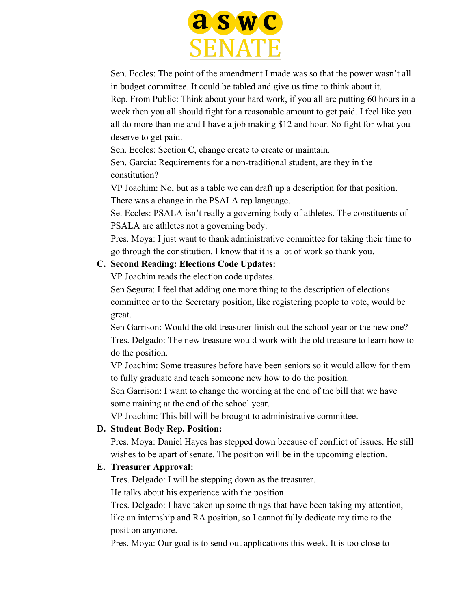

Sen. Eccles: The point of the amendment I made was so that the power wasn't all in budget committee. It could be tabled and give us time to think about it.

Rep. From Public: Think about your hard work, if you all are putting 60 hours in a week then you all should fight for a reasonable amount to get paid. I feel like you all do more than me and I have a job making \$12 and hour. So fight for what you deserve to get paid.

Sen. Eccles: Section C, change create to create or maintain.

Sen. Garcia: Requirements for a non-traditional student, are they in the constitution?

VP Joachim: No, but as a table we can draft up a description for that position. There was a change in the PSALA rep language.

Se. Eccles: PSALA isn't really a governing body of athletes. The constituents of PSALA are athletes not a governing body.

Pres. Moya: I just want to thank administrative committee for taking their time to go through the constitution. I know that it is a lot of work so thank you.

# **C. Second Reading: Elections Code Updates:**

VP Joachim reads the election code updates.

Sen Segura: I feel that adding one more thing to the description of elections committee or to the Secretary position, like registering people to vote, would be great.

Sen Garrison: Would the old treasurer finish out the school year or the new one? Tres. Delgado: The new treasure would work with the old treasure to learn how to do the position.

VP Joachim: Some treasures before have been seniors so it would allow for them to fully graduate and teach someone new how to do the position.

Sen Garrison: I want to change the wording at the end of the bill that we have some training at the end of the school year.

VP Joachim: This bill will be brought to administrative committee.

# **D. Student Body Rep. Position:**

Pres. Moya: Daniel Hayes has stepped down because of conflict of issues. He still wishes to be apart of senate. The position will be in the upcoming election.

# **E. Treasurer Approval:**

Tres. Delgado: I will be stepping down as the treasurer.

He talks about his experience with the position.

Tres. Delgado: I have taken up some things that have been taking my attention, like an internship and RA position, so I cannot fully dedicate my time to the position anymore.

Pres. Moya: Our goal is to send out applications this week. It is too close to